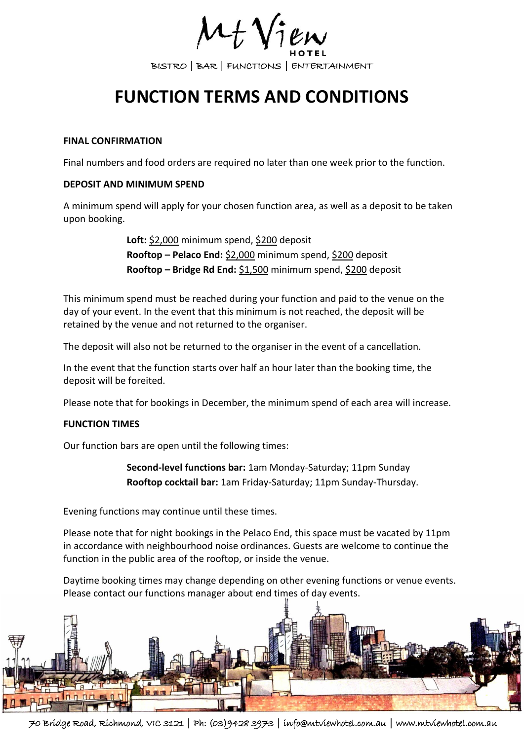BISTRO | BAR | FUNCTIONS | ENTERTAINMENT

# **FUNCTION TERMS AND CONDITIONS**

#### **FINAL CONFIRMATION**

Final numbers and food orders are required no later than one week prior to the function.

## **DEPOSIT AND MINIMUM SPEND**

A minimum spend will apply for your chosen function area, as well as a deposit to be taken upon booking.

> **Loft:** \$2,000 minimum spend, \$200 deposit **Rooftop – Pelaco End:** \$2,000 minimum spend, \$200 deposit **Rooftop – Bridge Rd End:** \$1,500 minimum spend, \$200 deposit

This minimum spend must be reached during your function and paid to the venue on the day of your event. In the event that this minimum is not reached, the deposit will be retained by the venue and not returned to the organiser.

The deposit will also not be returned to the organiser in the event of a cancellation.

In the event that the function starts over half an hour later than the booking time, the deposit will be foreited.

Please note that for bookings in December, the minimum spend of each area will increase.

# **FUNCTION TIMES**

Our function bars are open until the following times:

**Second-level functions bar:** 1am Monday-Saturday; 11pm Sunday **Rooftop cocktail bar:** 1am Friday-Saturday; 11pm Sunday-Thursday.

Evening functions may continue until these times.

Please note that for night bookings in the Pelaco End, this space must be vacated by 11pm in accordance with neighbourhood noise ordinances. Guests are welcome to continue the function in the public area of the rooftop, or inside the venue.

Daytime booking times may change depending on other evening functions or venue events. Please contact our functions manager about end times of day events.



70 Bridge Road, Richmond, VIC 3121 | Ph: (03)9428 3973 | info@mtviewhotel.com.au | www.mtviewhotel.com.au